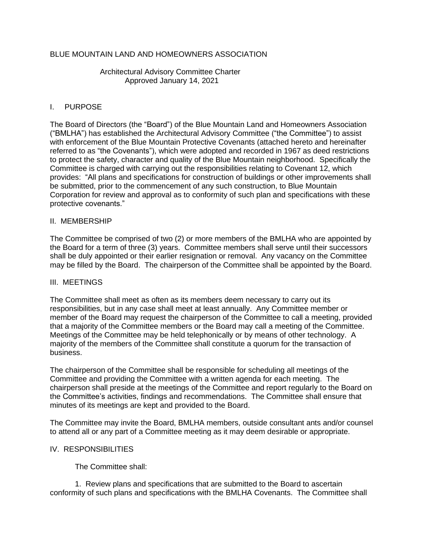# BLUE MOUNTAIN LAND AND HOMEOWNERS ASSOCIATION

### Architectural Advisory Committee Charter Approved January 14, 2021

# I. PURPOSE

The Board of Directors (the "Board") of the Blue Mountain Land and Homeowners Association ("BMLHA") has established the Architectural Advisory Committee ("the Committee") to assist with enforcement of the Blue Mountain Protective Covenants (attached hereto and hereinafter referred to as "the Covenants"), which were adopted and recorded in 1967 as deed restrictions to protect the safety, character and quality of the Blue Mountain neighborhood. Specifically the Committee is charged with carrying out the responsibilities relating to Covenant 12, which provides: "All plans and specifications for construction of buildings or other improvements shall be submitted, prior to the commencement of any such construction, to Blue Mountain Corporation for review and approval as to conformity of such plan and specifications with these protective covenants."

### II. MEMBERSHIP

The Committee be comprised of two (2) or more members of the BMLHA who are appointed by the Board for a term of three (3) years. Committee members shall serve until their successors shall be duly appointed or their earlier resignation or removal. Any vacancy on the Committee may be filled by the Board. The chairperson of the Committee shall be appointed by the Board.

### III. MEETINGS

The Committee shall meet as often as its members deem necessary to carry out its responsibilities, but in any case shall meet at least annually. Any Committee member or member of the Board may request the chairperson of the Committee to call a meeting, provided that a majority of the Committee members or the Board may call a meeting of the Committee. Meetings of the Committee may be held telephonically or by means of other technology. A majority of the members of the Committee shall constitute a quorum for the transaction of business.

The chairperson of the Committee shall be responsible for scheduling all meetings of the Committee and providing the Committee with a written agenda for each meeting. The chairperson shall preside at the meetings of the Committee and report regularly to the Board on the Committee's activities, findings and recommendations. The Committee shall ensure that minutes of its meetings are kept and provided to the Board.

The Committee may invite the Board, BMLHA members, outside consultant ants and/or counsel to attend all or any part of a Committee meeting as it may deem desirable or appropriate.

### IV. RESPONSIBILITIES

The Committee shall:

1. Review plans and specifications that are submitted to the Board to ascertain conformity of such plans and specifications with the BMLHA Covenants. The Committee shall